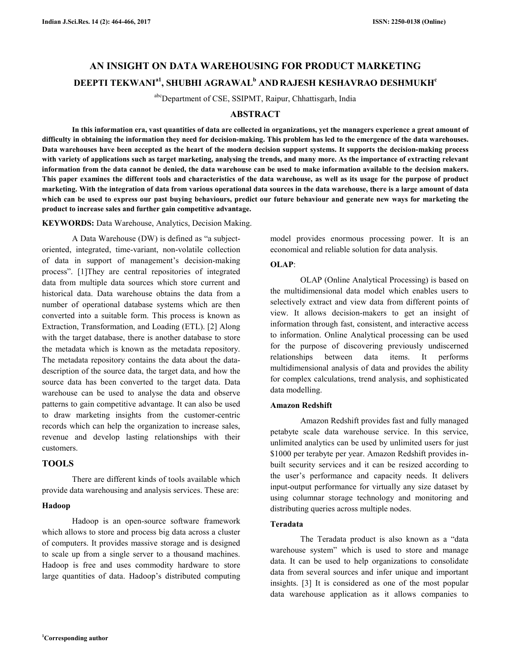# **AN INSIGHT ON DATA WAREHOUSING FOR PRODUCT MARKETING DEEPTI TEKWANIa1, SHUBHI AGRAWAL<sup>b</sup> AND RAJESH KESHAVRAO DESHMUKH<sup>c</sup>**

abcDepartment of CSE, SSIPMT, Raipur, Chhattisgarh, India

# **ABSTRACT**

 **In this information era, vast quantities of data are collected in organizations, yet the managers experience a great amount of difficulty in obtaining the information they need for decision-making. This problem has led to the emergence of the data warehouses. Data warehouses have been accepted as the heart of the modern decision support systems. It supports the decision-making process with variety of applications such as target marketing, analysing the trends, and many more. As the importance of extracting relevant information from the data cannot be denied, the data warehouse can be used to make information available to the decision makers. This paper examines the different tools and characteristics of the data warehouse, as well as its usage for the purpose of product marketing. With the integration of data from various operational data sources in the data warehouse, there is a large amount of data which can be used to express our past buying behaviours, predict our future behaviour and generate new ways for marketing the product to increase sales and further gain competitive advantage.** 

**KEYWORDS:** Data Warehouse, Analytics, Decision Making.

A Data Warehouse (DW) is defined as "a subjectoriented, integrated, time-variant, non-volatile collection of data in support of management's decision-making process". [1]They are central repositories of integrated data from multiple data sources which store current and historical data. Data warehouse obtains the data from a number of operational database systems which are then converted into a suitable form. This process is known as Extraction, Transformation, and Loading (ETL). [2] Along with the target database, there is another database to store the metadata which is known as the metadata repository. The metadata repository contains the data about the datadescription of the source data, the target data, and how the source data has been converted to the target data. Data warehouse can be used to analyse the data and observe patterns to gain competitive advantage. It can also be used to draw marketing insights from the customer-centric records which can help the organization to increase sales, revenue and develop lasting relationships with their customers.

## **TOOLS**

 There are different kinds of tools available which provide data warehousing and analysis services. These are:

## **Hadoop**

 Hadoop is an open-source software framework which allows to store and process big data across a cluster of computers. It provides massive storage and is designed to scale up from a single server to a thousand machines. Hadoop is free and uses commodity hardware to store large quantities of data. Hadoop's distributed computing model provides enormous processing power. It is an economical and reliable solution for data analysis.

# **OLAP**:

 OLAP (Online Analytical Processing) is based on the multidimensional data model which enables users to selectively extract and view data from different points of view. It allows decision-makers to get an insight of information through fast, consistent, and interactive access to information. Online Analytical processing can be used for the purpose of discovering previously undiscerned relationships between data items. It performs multidimensional analysis of data and provides the ability for complex calculations, trend analysis, and sophisticated data modelling.

## **Amazon Redshift**

Amazon Redshift provides fast and fully managed petabyte scale data warehouse service. In this service, unlimited analytics can be used by unlimited users for just \$1000 per terabyte per year. Amazon Redshift provides inbuilt security services and it can be resized according to the user's performance and capacity needs. It delivers input-output performance for virtually any size dataset by using columnar storage technology and monitoring and distributing queries across multiple nodes.

## **Teradata**

 The Teradata product is also known as a "data warehouse system" which is used to store and manage data. It can be used to help organizations to consolidate data from several sources and infer unique and important insights. [3] It is considered as one of the most popular data warehouse application as it allows companies to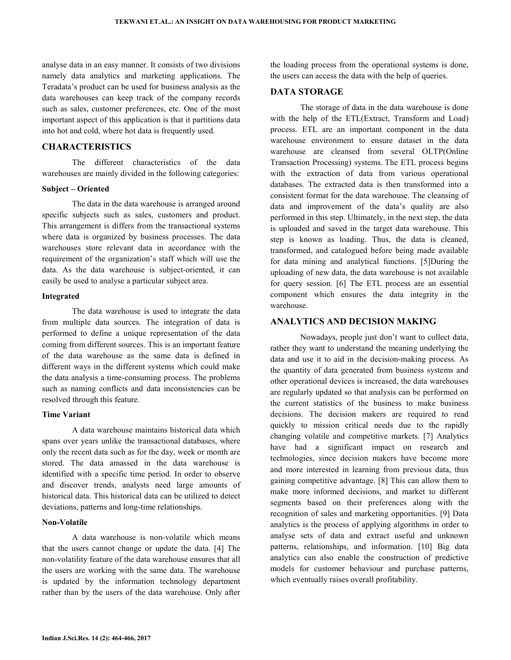analyse data in an easy manner. It consists of two divisions namely data analytics and marketing applications. The Teradata's product can be used for business analysis as the data warehouses can keep track of the company records such as sales, customer preferences, etc. One of the most important aspect of this application is that it partitions data into hot and cold, where hot data is frequently used.

# **CHARACTERISTICS**

 The different characteristics of the data warehouses are mainly divided in the following categories:

#### **Subject – Oriented**

 The data in the data warehouse is arranged around specific subjects such as sales, customers and product. This arrangement is differs from the transactional systems where data is organized by business processes. The data warehouses store relevant data in accordance with the requirement of the organization's staff which will use the data. As the data warehouse is subject-oriented, it can easily be used to analyse a particular subject area.

#### **Integrated**

 The data warehouse is used to integrate the data from multiple data sources. The integration of data is performed to define a unique representation of the data coming from different sources. This is an important feature of the data warehouse as the same data is defined in different ways in the different systems which could make the data analysis a time-consuming process. The problems such as naming conflicts and data inconsistencies can be resolved through this feature.

## **Time Variant**

 A data warehouse maintains historical data which spans over years unlike the transactional databases, where only the recent data such as for the day, week or month are stored. The data amassed in the data warehouse is identified with a specific time period. In order to observe and discover trends, analysts need large amounts of historical data. This historical data can be utilized to detect deviations, patterns and long-time relationships.

## **Non-Volatile**

 A data warehouse is non-volatile which means that the users cannot change or update the data. [4] The non-volatility feature of the data warehouse ensures that all the users are working with the same data. The warehouse is updated by the information technology department rather than by the users of the data warehouse. Only after the loading process from the operational systems is done, the users can access the data with the help of queries.

# **DATA STORAGE**

 The storage of data in the data warehouse is done with the help of the ETL(Extract, Transform and Load) process. ETL are an important component in the data warehouse environment to ensure dataset in the data warehouse are cleansed from several OLTP(Online Transaction Processing) systems. The ETL process begins with the extraction of data from various operational databases. The extracted data is then transformed into a consistent format for the data warehouse. The cleansing of data and improvement of the data's quality are also performed in this step. Ultimately, in the next step, the data is uploaded and saved in the target data warehouse. This step is known as loading. Thus, the data is cleaned, transformed, and catalogued before being made available for data mining and analytical functions. [5]During the uploading of new data, the data warehouse is not available for query session. [6] The ETL process are an essential component which ensures the data integrity in the warehouse.

## **ANALYTICS AND DECISION MAKING**

 Nowadays, people just don't want to collect data, rather they want to understand the meaning underlying the data and use it to aid in the decision-making process. As the quantity of data generated from business systems and other operational devices is increased, the data warehouses are regularly updated so that analysis can be performed on the current statistics of the business to make business decisions. The decision makers are required to read quickly to mission critical needs due to the rapidly changing volatile and competitive markets. [7] Analytics have had a significant impact on research and technologies, since decision makers have become more and more interested in learning from previous data, thus gaining competitive advantage. [8] This can allow them to make more informed decisions, and market to different segments based on their preferences along with the recognition of sales and marketing opportunities. [9] Data analytics is the process of applying algorithms in order to analyse sets of data and extract useful and unknown patterns, relationships, and information. [10] Big data analytics can also enable the construction of predictive models for customer behaviour and purchase patterns, which eventually raises overall profitability.